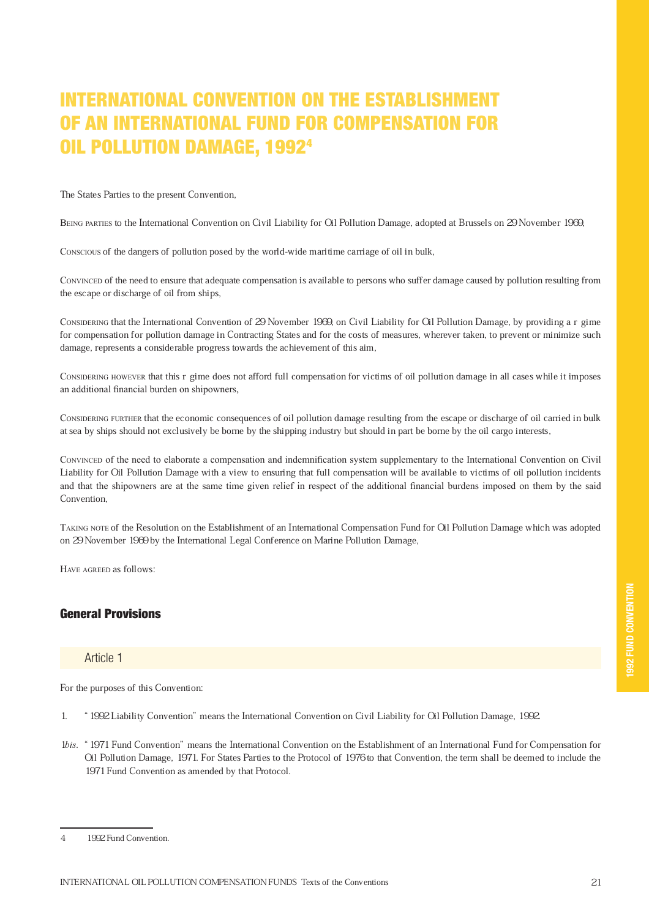**1992 FUND CONVENTION**

**1992 FUND CONVENTION** 

# INTERNATIONAL CONVENTION ON THE ESTABLISHMENT OF AN INTERNATIONAL FUND FOR COMPENSATION FOR OIL POLLUTION DAMAGE, 1992<sup>4</sup>

The States Parties to the present Convention,

BEING PARTIES to the International Convention on Civil Liability for Oil Pollution Damage, adopted at Brussels on 29 November 1969,

CONSCIOUS of the dangers of pollution posed by the world-wide maritime carriage of oil in bulk,

CONVINCED of the need to ensure that adequate compensation is available to persons who suffer damage caused by pollution resulting from the escape or discharge of oil from ships,

CONSIDERING that the International Convention of 29 November 1969, on Civil Liability for Oil Pollution Damage, by providing a r gime for compensation for pollution damage in Contracting States and for the costs of measures, wherever taken, to prevent or minimize such damage, represents a considerable progress towards the achievement of this aim,

CONSIDERING HOWEVER that this r gime does not afford full compensation for victims of oil pollution damage in all cases while it imposes an additional financial burden on shipowners,

CONSIDERING FURTHER that the economic consequences of oil pollution damage resulting from the escape or discharge of oil carried in bulk at sea by ships should not exclusively be borne by the shipping industry but should in part be borne by the oil cargo interests,

CONVINCED of the need to elaborate a compensation and indemnification system supplementary to the International Convention on Civil Liability for Oil Pollution Damage with a view to ensuring that full compensation will be available to victims of oil pollution incidents and that the shipowners are at the same time given relief in respect of the additional financial burdens imposed on them by the said Convention.

TAKING NOTE of the Resolution on the Establishment of an International Compensation Fund for Oil Pollution Damage which was adopted on 29 November 1969 by the International Legal Conference on Marine Pollution Damage,

HAVE AGREED as follows:

# General Provisions

# Article 1

For the purposes of this Convention:

- 1. " 1992 Liability Convention" means the International Convention on Civil Liability for Oil Pollution Damage, 1992
- $1$ bis. " 1971 Fund Convention" means the International Convention on the Establishment of an International Fund for Compensation for Oil Pollution Damage, 1971. For States Parties to the Protocol of 1976 to that Convention, the term shall be deemed to include the 1971 Fund Convention as amended by that Protocol.

<sup>4 1992</sup> Fund Convention.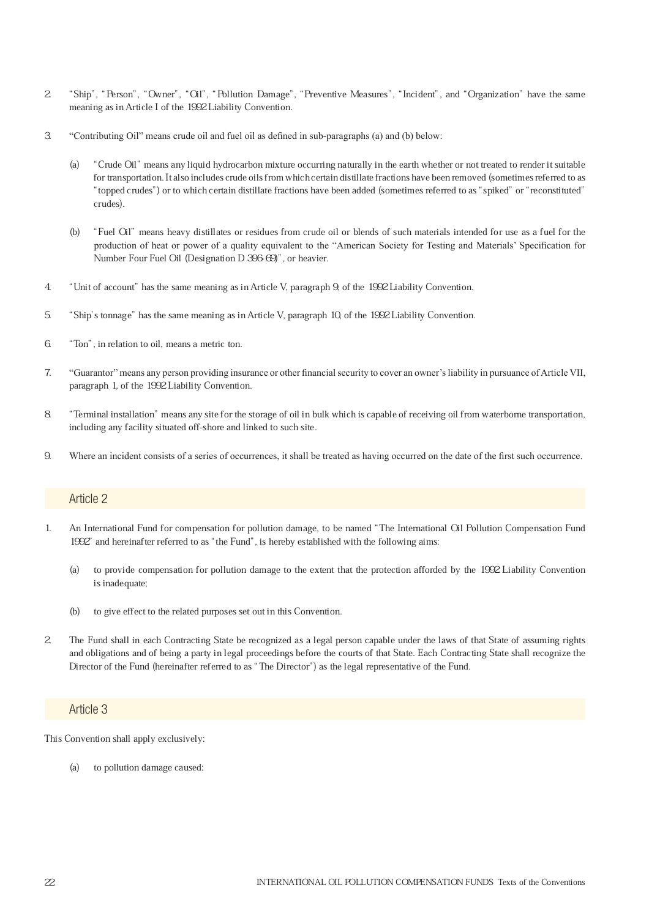- <sup>2</sup> "Ship", "Person", "Owner", "Oil", "Pollution Damage", "Preventive Measures", "Incident", and "Organization" have the same meaning as in Article I of the 1992 Liability Convention.
- 3 "Contributing Oil" means crude oil and fuel oil as defined in sub-paragraphs (a) and (b) below:
	- (a) "Crude Oil" means any liquid hydrocarbon mixture occurring naturally in the earth whether or not treated to render it suitable for transportation. It also includes crude oils from which certain distillate fractions have been removed (sometimes referred to as "topped crudes") or to which certain distillate fractions have been added (sometimes referred to as "spiked" or "reconstituted" crudes).
	- (b) "Fuel Oil" means heavy distillates or residues from crude oil or blends of such materials intended for use as a fuel for the production of heat or power of a quality equivalent to the "American Society for Testing and Materials' Specification for Number Four Fuel Oil (Designation D 396-69)", or heavier.
- <sup>4</sup> 4. "Unit of account" has the same meaning as in Article V, paragraph 9, of the 1992 Liability Convention.
- 5. "Ship's tonnage" has the same meaning as in Article V, paragraph 10, of the 1992 Liability Convention.
- $6$  "Ton", in relation to oil, means a metric ton.
- 7. "Guarantor" means any person providing insurance or other financial security to cover an owner's liability in pursuance of Article VII, paragraph 1, of the 1992 Liability Convention.
- $8$  "Terminal installation" means any site for the storage of oil in bulk which is capable of receiving oil from waterborne transportation, including any facility situated off-shore and linked to such site.
- 9. Where an incident consists of a series of occurrences, it shall be treated as having occurred on the date of the first such occurrence.

- 1. An International Fund for compensation for pollution damage, to be named "The International Oil Pollution Compensation Fund 1992" and hereinafter referred to as "the Fund", is hereby established with the following aims:
	- (a) to provide compensation for pollution damage to the extent that the protection afforded by the 1992 Liability Convention is inadequate:
	- (b) to give effect to the related purposes set out in this Convention.
- 2 The Fund shall in each Contracting State be recognized as a legal person capable under the laws of that State of assuming rights and obligations and of being a party in legal proceedings before the courts of that State. Each Contracting State shall recognize the Director of the Fund (hereinafter referred to as "The Director") as the legal representative of the Fund.

#### Article 3

This Convention shall apply exclusively:

(a) to pollution damage caused: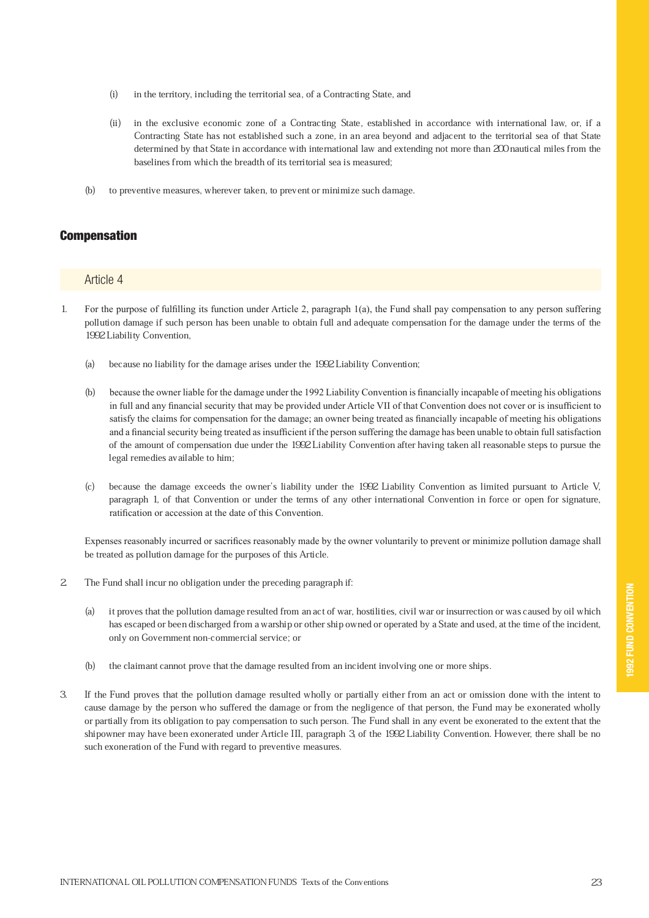- $(i)$  in the territory, including the territorial sea, of a Contracting State, and
- (ii) in the exclusive economic zone of a Contracting State, established in accordance with international law, or, if a Contracting State has not established such a zone, in an area beyond and adjacent to the territorial sea of that State determined by that State in accordance with international law and extending not more than 200 nautical miles from the baselines from which the breadth of its territorial sea is measured:
- $(b)$  to preventive measures, wherever taken, to prevent or minimize such damage.

#### **Compensation**

#### Article 4

- 1. For the purpose of fulfilling its function under Article 2, paragraph 1(a), the Fund shall pay compensation to any person suffering pollution damage if such person has been unable to obtain full and adequate compensation for the damage under the terms of the 1992 Liability Convention,
	- (a) because no liability for the damage arises under the 1992 Liability Convention;
	- (b) because the owner liable for the damage under the 1992 Liability Convention is financially incapable of meeting his obligations in full and any financial security that may be provided under Article VII of that Convention does not cover or is insufficient to satisfy the claims for compensation for the damage; an owner being treated as financially incapable of meeting his obligations and a financial security being treated as insufficient if the person suffering the damage has been unable to obtain full satisfaction of the amount of compensation due under the 1992 Liability Convention after having taken all reasonable steps to pursue the legal remedies available to him;
	- (c) because the damage exceeds the owner's liability under the 1992 Liability Convention as limited pursuant to Article V. paragraph 1, of that Convention or under the terms of any other international Convention in force or open for signature, ratification or accession at the date of this Convention.

Expenses reasonably incurred or sacrifices reasonably made by the owner voluntarily to prevent or minimize pollution damage shall be treated as pollution damage for the purposes of this Article.

- 2 The Fund shall incur no obligation under the preceding paragraph if:
	- (a) it proves that the pollution damage resulted from an act of war, hostilities, civil war or insurrection or was caused by oil which has escaped or been discharged from a warship or other ship owned or operated by a State and used, at the time of the incident, only on Government non-commercial service; or
	- (b) the claimant cannot prove that the damage resulted from an incident involving one or more ships.
- $\,3\quad$  If the Fund proves that the pollution damage resulted wholly or partially either from an act or omission done with the intent to cause damage by the person who suffered the damage or from the negligence of that person, the Fund may be exonerated wholly or partially from its obligation to pay compensation to such person. The Fund shall in any event be exonerated to the extent that the shipowner may have been exonerated under Article III, paragraph 3 of the 1992 Liability Convention. However, there shall be no such exoneration of the Fund with regard to preventive measures.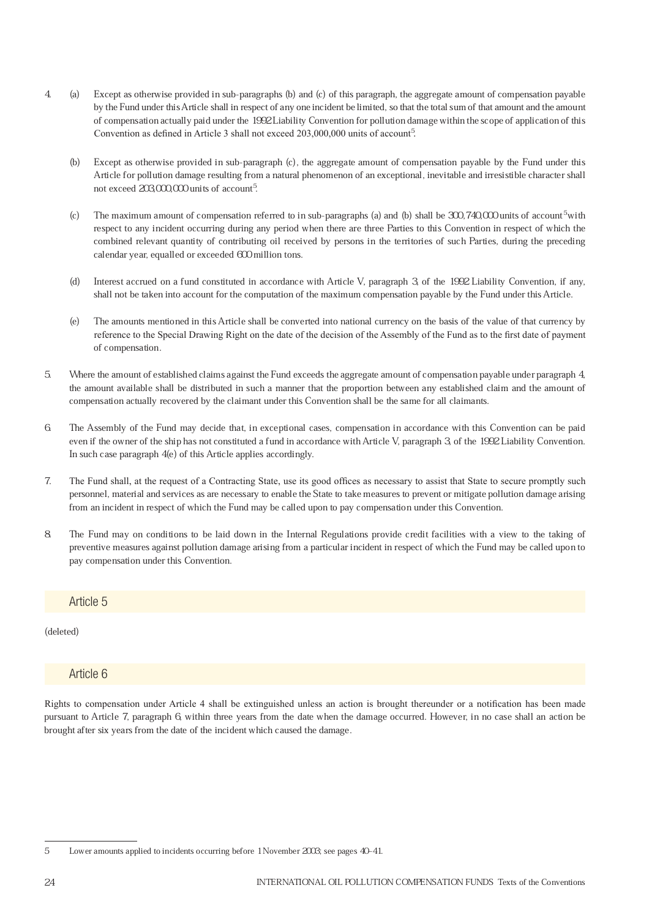- (a) Except as otherwise provided in sub-paragraphs (b) and (c) of this paragraph, the aggregate amount of compensation payable by the Fund under this Article shall in respect of any one incident be limited, so that the total sum of that amount and the amount of compensation actually paid under the 1992 Liability Convention for pollution damage within the scope of application of this Convention as defined in Article 3 shall not exceed  $203,000,000$  units of account<sup>5</sup>.  $\overline{4}$ 
	- (b) Except as otherwise provided in sub-paragraph (c), the aggregate amount of compensation payable by the Fund under this Article for pollution damage resulting from a natural phenomenon of an exceptional, inevitable and irresistible character shall not exceed 203,000,000 units of account<sup>5</sup>.
	- (c) The maximum amount of compensation referred to in sub-paragraphs (a) and (b) shall be  $300,740,000$  units of account<sup>5</sup> with respect to any incident occurring during any period when there are three Parties to this Convention in respect of which the combined relevant quantity of contributing oil received by persons in the territories of such Parties, during the preceding calendar year, equalled or exceeded 600 million tons.
	- (d) Interest accrued on a fund constituted in accordance with Article V, paragraph 3 of the 1992 Liability Convention, if any, shall not be taken into account for the computation of the maximum compensation payable by the Fund under this Article.
	- (e) The amounts mentioned in this Article shall be converted into national currency on the basis of the value of that currency by reference to the Special Drawing Right on the date of the decision of the Assembly of the Fund as to the first date of payment of compensation.
- 5. Where the amount of established claims against the Fund exceeds the aggregate amount of compensation payable under paragraph 4, the amount available shall be distributed in such a manner that the proportion between any established claim and the amount of compensation actually recovered by the claimant under this Convention shall be the same for all claimants.
- G The Assembly of the Fund may decide that, in exceptional cases, compensation in accordance with this Convention can be paid even if the owner of the ship has not constituted a fund in accordance with Article V, paragraph 3 of the 1992 Liability Convention. In such case paragraph 4(e) of this Article applies accordingly.
- 7. The Fund shall, at the request of a Contracting State, use its good offices as necessary to assist that State to secure promptly such personnel, material and services as are necessary to enable the State to take measures to prevent or mitigate pollution damage arising from an incident in respect of which the Fund may be called upon to pay compensation under this Convention.
- $8$  The Fund may on conditions to be laid down in the Internal Regulations provide credit facilities with a view to the taking of preventive measures against pollution damage arising from a particular incident in respect of which the Fund may be called upon to pay compensation under this Convention.

(deleted)

### Article 6

Rights to compensation under Article 4 shall be extinguished unless an action is brought thereunder or a notication has been made pursuant to Article 7, paragraph 6, within three years from the date when the damage occurred. However, in no case shall an action be brought after six years from the date of the incident which caused the damage.

<sup>5</sup> Lower amounts applied to incidents occurring before 1 November 2003; see pages 40-41.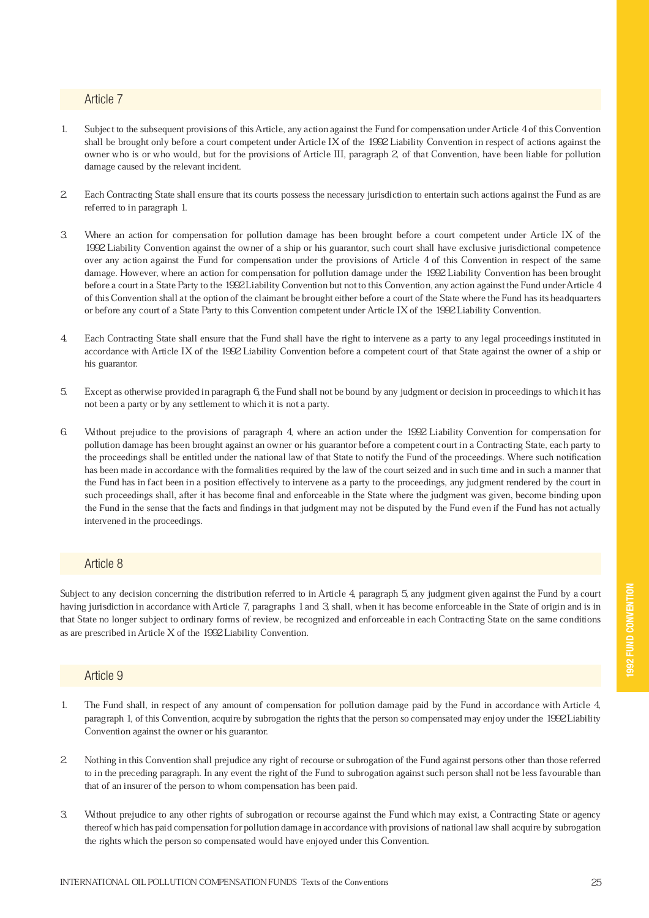- 1. Subject to the subsequent provisions of this Article, any action against the Fund for compensation under Article 4 of this Convention shall be brought only before a court competent under Article IX of the 1992 Liability Convention in respect of actions against the owner who is or who would, but for the provisions of Article III, paragraph 2, of that Convention, have been liable for pollution damage caused by the relevant incident.
- 2 Each Contracting State shall ensure that its courts possess the necessary jurisdiction to entertain such actions against the Fund as are referred to in paragraph 1.
- $\alpha$  Where an action for compensation for pollution damage has been brought before a court competent under Article IX of the 1992 Liability Convention against the owner of a ship or his guarantor, such court shall have exclusive jurisdictional competence over any action against the Fund for compensation under the provisions of Article 4 of this Convention in respect of the same damage. However, where an action for compensation for pollution damage under the 1992 Liability Convention has been brought before a court in a State Party to the 1992 Liability Convention but not to this Convention, any action against the Fund under Article 4 of this Convention shall at the option of the claimant be brought either before a court of the State where the Fund has its headquarters or before any court of a State Party to this Convention competent under Article IX of the 1992 Liability Convention.
- 4. Each Contracting State shall ensure that the Fund shall have the right to intervene as a party to any legal proceedings instituted in accordance with Article IX of the 1992 Liability Convention before a competent court of that State against the owner of a ship or his guarantor.
- $5$  Except as otherwise provided in paragraph 6 the Fund shall not be bound by any judgment or decision in proceedings to which it has not been a party or by any settlement to which it is not a party.
- 6. Without prejudice to the provisions of paragraph 4, where an action under the 1992 Liability Convention for compensation for pollution damage has been brought against an owner or his guarantor before a competent court in a Contracting State, each party to the proceedings shall be entitled under the national law of that State to notify the Fund of the proceedings. Where such notification has been made in accordance with the formalities required by the law of the court seized and in such time and in such a manner that the Fund has in fact been in a position effectively to intervene as a party to the proceedings, any judgment rendered by the court in such proceedings shall, after it has become final and enforceable in the State where the judgment was given, become binding upon the Fund in the sense that the facts and findings in that judgment may not be disputed by the Fund even if the Fund has not actually intervened in the proceedings.

#### Article 8

Subject to any decision concerning the distribution referred to in Article 4 paragraph 5, any judgment given against the Fund by a court having jurisdiction in accordance with Article 7, paragraphs 1 and 3, shall, when it has become enforceable in the State of origin and is in that State no longer subject to ordinary forms of review, be recognized and enforceable in each Contracting State on the same conditions as are prescribed in Article X of the 1992 Liability Convention.

#### Article 9

- 1. The Fund shall, in respect of any amount of compensation for pollution damage paid by the Fund in accordance with Article 4, paragraph 1, of this Convention, acquire by subrogation the rights that the person so compensated may enjoy under the 1992 Liability Convention against the owner or his guarantor.
- 2 Nothing in this Convention shall prejudice any right of recourse or subrogation of the Fund against persons other than those referred to in the preceding paragraph. In any event the right of the Fund to subrogation against such person shall not be less favourable than that of an insurer of the person to whom compensation has been paid.
- $3$  Without prejudice to any other rights of subrogation or recourse against the Fund which may exist, a Contracting State or agency thereof which has paid compensation for pollution damage in accordance with provisions of national law shall acquire by subrogation the rights which the person so compensated would have enjoyed under this Convention.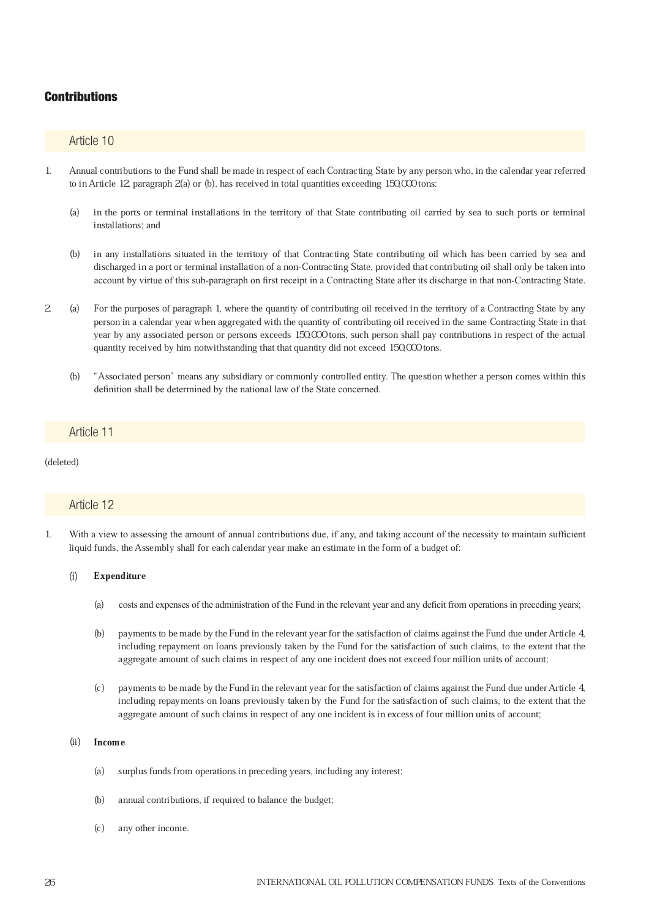# **Contributions**

#### Article 10

- 1. Annual contributions to the Fund shall be made in respect of each Contracting State by any person who, in the calendar year referred to in Article 12, paragraph 2(a) or (b), has received in total quantities exceeding 150,000 tons:
	- (a) in the ports or terminal installations in the territory of that State contributing oil carried by sea to such ports or terminal installations: and
	- (b) in any installations situated in the territory of that Contracting State contributing oil which has been carried by sea and discharged in a port or terminal installation of a non-Contracting State, provided that contributing oil shall only be taken into account by virtue of this sub-paragraph on first receipt in a Contracting State after its discharge in that non-Contracting State.
- (a) For the purposes of paragraph 1, where the quantity of contributing oil received in the territory of a Contracting State by any person in a calendar year when aggregated with the quantity of contributing oil received in the same Contracting State in that year by any associated person or persons exceeds 150,000 tons, such person shall pay contributions in respect of the actual quantity received by him notwithstanding that that quantity did not exceed 150,000 tons.  $\overline{2}$ 
	- (b) "Associated person" means any subsidiary or commonly controlled entity. The question whether a person comes within this definition shall be determined by the national law of the State concerned.

#### Article 11

(deleted)

#### Article 12

1. With a view to assessing the amount of annual contributions due, if any, and taking account of the necessity to maintain sufficient liquid funds, the Assembly shall for each calendar year make an estimate in the form of a budget of:

#### Expenditure  $(i)$

- (a) costs and expenses of the administration of the Fund in the relevant year and any deficit from operations in preceding years;
- (b) payments to be made by the Fund in the relevant year for the satisfaction of claims against the Fund due under Article 4, including repayment on loans previously taken by the Fund for the satisfaction of such claims, to the extent that the aggregate amount of such claims in respect of any one incident does not exceed four million units of account;
- (c) payments to be made by the Fund in the relevant year for the satisfaction of claims against the Fund due under Article 4, including repayments on loans previously taken by the Fund for the satisfaction of such claims, to the extent that the aggregate amount of such claims in respect of any one incident is in excess of four million units of account;

#### Income  $(ii)$

- (a) surplus funds from operations in preceding vears, including any interest:
- (b) annual contributions, if required to balance the budget;
- $k$  any other income.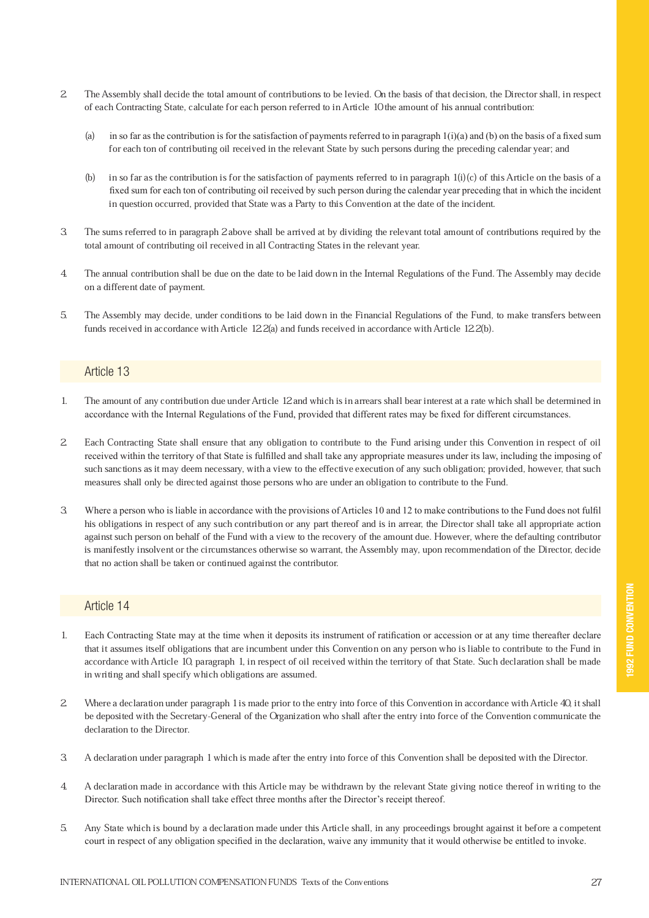- 2 The Assembly shall decide the total amount of contributions to be levied. On the basis of that decision, the Director shall, in respect of each Contracting State, calculate for each person referred to in Article 10the amount of his annual contribution:
	- (a) in so far as the contribution is for the satisfaction of payments referred to in paragraph  $1(i)(a)$  and (b) on the basis of a fixed sum for each ton of contributing oil received in the relevant State by such persons during the preceding calendar year; and
	- (b) in so far as the contribution is for the satisfaction of payments referred to in paragraph  $1(i)(c)$  of this Article on the basis of a fixed sum for each ton of contributing oil received by such person during the calendar year preceding that in which the incident in question occurred, provided that State was a Party to this Convention at the date of the incident.
- $3$  The sums referred to in paragraph 2 above shall be arrived at by dividing the relevant total amount of contributions required by the total amount of contributing oil received in all Contracting States in the relevant year.
- 4 The annual contribution shall be due on the date to be laid down in the Internal Regulations of the Fund. The Assembly may decide on a different date of payment.
- 5 The Assembly may decide, under conditions to be laid down in the Financial Regulations of the Fund, to make transfers between funds received in accordance with Article 122(a) and funds received in accordance with Article 122(b).

- 1. The amount of any contribution due under Article 12 and which is in arrears shall bear interest at a rate which shall be determined in accordance with the Internal Regulations of the Fund, provided that different rates may be fixed for different circumstances.
- Each Contracting State shall ensure that any obligation to contribute to the Fund arising under this Convention in respect of oil received within the territory of that State is fullled and shall take any appropriate measures under its law, including the imposing of such sanctions as it may deem necessary, with a view to the effective execution of any such obligation; provided, however, that such measures shall only be directed against those persons who are under an obligation to contribute to the Fund.
- QE Where a person who is liable in accordance with the provisions of Articles 10 and 12 to make contributions to the Fund does not full his obligations in respect of any such contribution or any part thereof and is in arrear, the Director shall take all appropriate action against such person on behalf of the Fund with a view to the recovery of the amount due. However, where the defaulting contributor is manifestly insolvent or the circumstances otherwise so warrant, the Assembly may, upon recommendation of the Director, decide that no action shall be taken or continued against the contributor.

#### Article 14

- 1. Each Contracting State may at the time when it deposits its instrument of ratification or accession or at any time thereafter declare that it assumes itself obligations that are incumbent under this Convention on any person who is liable to contribute to the Fund in accordance with Article 1Q paragraph 1, in respect of oil received within the territory of that State. Such declaration shall be made in writing and shall specify which obligations are assumed.
- 2 Where a declaration under paragraph 1 is made prior to the entry into force of this Convention in accordance with Article 40 it shall be deposited with the Secretary-General of the Organization who shall after the entry into force of the Convention communicate the declaration to the Director.
- $\beta$  A declaration under paragraph 1 which is made after the entry into force of this Convention shall be deposited with the Director.
- A declaration made in accordance with this Article may be withdrawn by the relevant State giving notice thereof in writing to the Director. Such notification shall take effect three months after the Director's receipt thereof.
- 5. Any State which is bound by a declaration made under this Article shall, in any proceedings brought against it before a competent court in respect of any obligation specified in the declaration, waive any immunity that it would otherwise be entitled to invoke.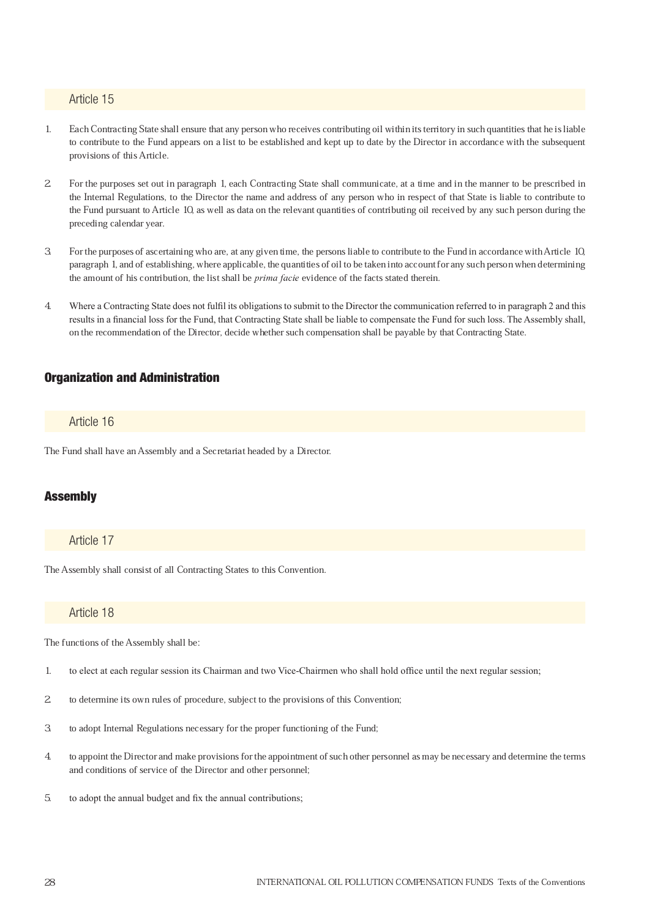- 1. Each Contracting State shall ensure that any person who receives contributing oil within its territory in such quantities that he is liable to contribute to the Fund appears on a list to be established and kept up to date by the Director in accordance with the subsequent provisions of this Article.
- 2602 For the purposes set out in paragraph 1, each Contracting State shall communicate, at a time and in the manner to be prescribed in the Internal Regulations, to the Director the name and address of any person who in respect of that State is liable to contribute to the Fund pursuant to Article 1Q as well as data on the relevant quantities of contributing oil received by any such person during the preceding calendar year.
- S To the purposes of ascertaining who are, at any given time, the persons liable to contribute to the Fund in accordance with Article 10, paragraph 1, and of establishing, where applicable, the quantities of oil to be taken into account for any such person when determining the amount of his contribution, the list shall be *prima facie* evidence of the facts stated therein.
- 4 Where a Contracting State does not fulfil its obligations to submit to the Director the communication referred to in paragraph 2 and this results in a financial loss for the Fund, that Contracting State shall be liable to compensate the Fund for such loss. The Assembly shall, on the recommendation of the Director, decide whether such compensation shall be payable by that Contracting State.

## Organization and Administration

#### Article 16

The Fund shall have an Assembly and a Secretariat headed by a Director.

#### Assembly

### Article 17

The Assembly shall consist of all Contracting States to this Convention.

#### Article 18

The functions of the Assembly shall be:

- 1. to elect at each regular session its Chairman and two Vice-Chairmen who shall hold office until the next regular session;
- 2<sub>to</sub> determine its own rules of procedure, subject to the provisions of this Convention;
- 3 to adopt Internal Regulations necessary for the proper functioning of the Fund;
- 4 to appoint the Director and make provisions for the appointment of such other personnel as may be necessary and determine the terms and conditions of service of the Director and other personnel;
- 5 to adopt the annual budget and fix the annual contributions;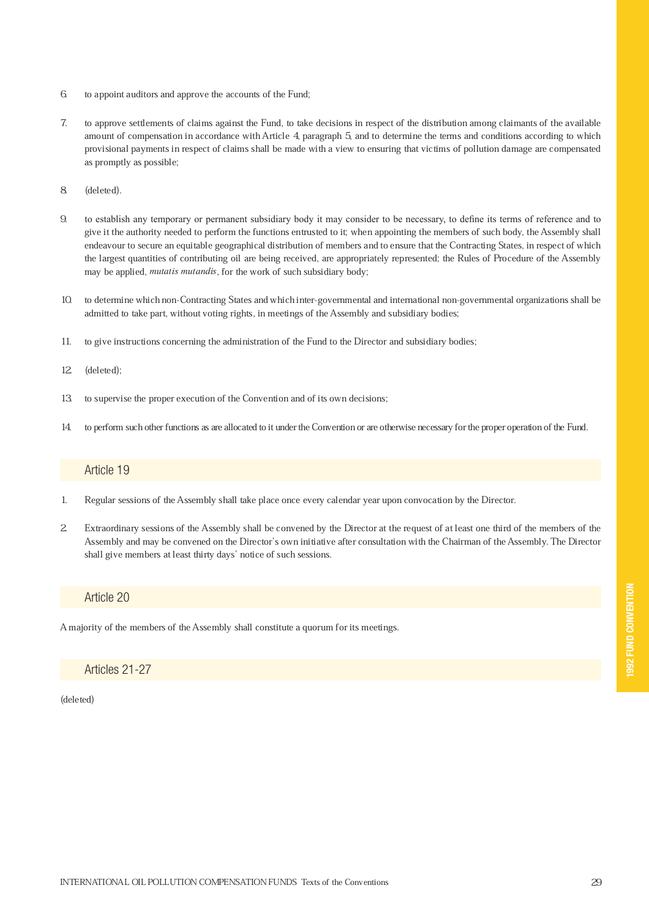- 
- ;D to establish any temporary or permanent subsidiary body it may consider to be necessary, to dene its terms of reference and to give it the authority needed to perform the functions entrusted to it; when appointing the members of such body, the Assembly shall endeavour to secure an equitable geographical distribution of members and to ensure that the Contracting States, in respect of which the largest quantities of contributing oil are being received, are appropriately represented; the Rules of Procedure of the Assembly

7. to approve settlements of claims against the Fund, to take decisions in respect of the distribution among claimants of the available amount of compensation in accordance with Article 4, paragraph 5, and to determine the terms and conditions according to which provisional payments in respect of claims shall be made with a view to ensuring that victims of pollution damage are compensated

- 10. to determine which non-Contracting States and which inter-governmental and international non-governmental organizations shall be admitted to take part, without voting rights, in meetings of the Assembly and subsidiary bodies;
- 11. to give instructions concerning the administration of the Fund to the Director and subsidiary bodies;
- 12. (deleted);

8 (deleted).

13 to supervise the proper execution of the Convention and of its own decisions;

may be applied, *mutatis mutandis*, for the work of such subsidiary body;

G to appoint auditors and approve the accounts of the Fund;

as promptly as possible;

14 to perform such other functions as are allocated to it under the Convention or are otherwise necessary for the proper operation of the Fund.

# Article 19

- 1. Regular sessions of the Assembly shall take place once every calendar year upon convocation by the Director.
- $2$  Extraordinary sessions of the Assembly shall be convened by the Director at the request of at least one third of the members of the Assembly and may be convened on the Director's own initiative after consultation with the Chairman of the Assembly. The Director shall give members at least thirty days' notice of such sessions.

### Article 20

A majority of the members of the Assembly shall constitute a quorum for its meetings.

### Articles 21-27

(deleted)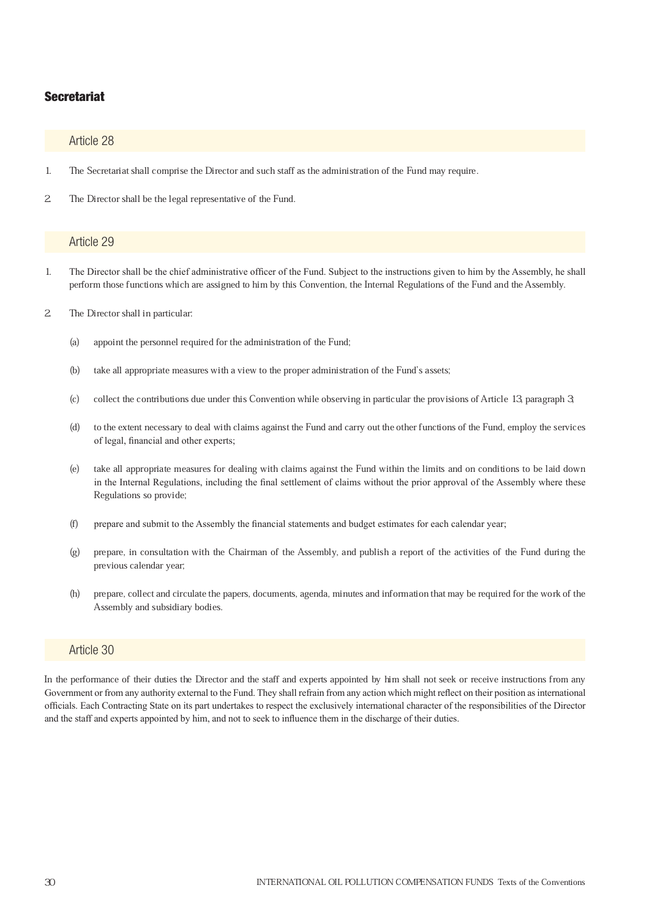# **Secretariat**

#### Article 28

- 1. The Secretariat shall comprise the Director and such staff as the administration of the Fund may require.
- 2 The Director shall be the legal representative of the Fund.

#### Article 29

- 1. The Director shall be the chief administrative officer of the Fund. Subject to the instructions given to him by the Assembly, he shall berform those functions which are assigned to him by this Convention, the Internal Regulations of the Fund and the Assembly.
- 2 The Director shall in particular:
	- (a) appoint the personnel required for the administration of the Fund;
	- (b) take all appropriate measures with a view to the proper administration of the Fund's assets;
	- (c) collect the contributions due under this Convention while observing in particular the provisions of Article 13, paragraph 3
	- (d) to the extent necessary to deal with claims against the Fund and carry out the other functions of the Fund, employ the services of legal, financial and other experts;
	- (e) take all appropriate measures for dealing with claims against the Fund within the limits and on conditions to be laid down in the Internal Regulations, including the final settlement of claims without the prior approval of the Assembly where these Regulations so provide;
	- O5P prepare and submit to the Assembly the nancial statements and budget estimates for each calendar year;
	- (g) prepare, in consultation with the Chairman of the Assembly, and publish a report of the activities of the Fund during the previous calendar year;
	- (h) prepare, collect and circulate the papers, documents, agenda, minutes and information that may be required for the work of the Assembly and subsidiary bodies.

#### Article 30

In the performance of their duties the Director and the staff and experts appointed by him shall not seek or receive instructions from any Government or from any authority external to the Fund. They shall refrain from any action which might reflect on their position as international ofcials. Each Contracting State on its part undertakes to respect the exclusively international character of the responsibilities of the Director and the staff and experts appointed by him, and not to seek to influence them in the discharge of their duties.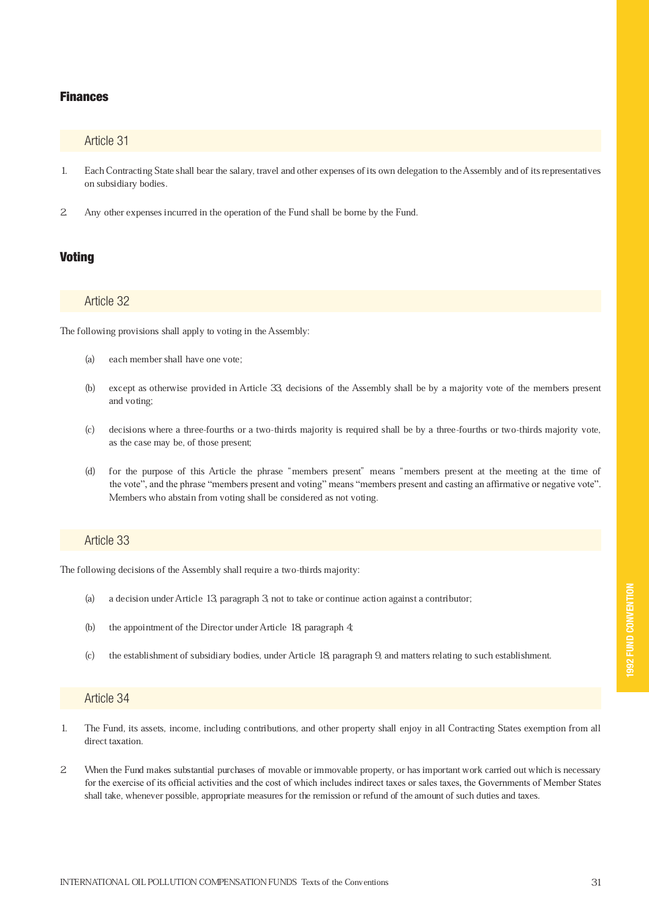# Finances

#### Article 31

- 1. Each Contracting State shall bear the salary, travel and other expenses of its own delegation to the Assembly and of its representatives on subsidiary bodies.
- 2 Any other expenses incurred in the operation of the Fund shall be borne by the Fund.

## **Voting**

## Article 32

The following provisions shall apply to voting in the Assembly:

- (a) each member shall have one vote;
- (b) except as otherwise provided in Article 33 decisions of the Assembly shall be by a majority vote of the members present and voting:
- (c) decisions where a three-fourths or a two-thirds majority is required shall be by a three-fourths or two-thirds majority vote, as the case may be, of those present;
- (d) for the purpose of this Article the phrase "members present" means "members present at the meeting at the time of the vote", and the phrase "members present and voting" means "members present and casting an affirmative or negative vote". Members who abstain from voting shall be considered as not voting.

#### Article 33

The following decisions of the Assembly shall require a two-thirds majority:

- (a) a decision under Article 13, paragraph 3 not to take or continue action against a contributor;
- (b) the appointment of the Director under Article 18, paragraph  $4$ ;
- (c) the establishment of subsidiary bodies, under Article 18, paragraph 9, and matters relating to such establishment.

#### Article 34

- 1. The Fund, its assets, income, including contributions, and other property shall enjoy in all Contracting States exemption from all direct taxation.
- 2 When the Fund makes substantial purchases of movable or immovable property, or has important work carried out which is necessary for the exercise of its official activities and the cost of which includes indirect taxes or sales taxes, the Governments of Member States shall take, whenever possible, appropriate measures for the remission or refund of the amount of such duties and taxes.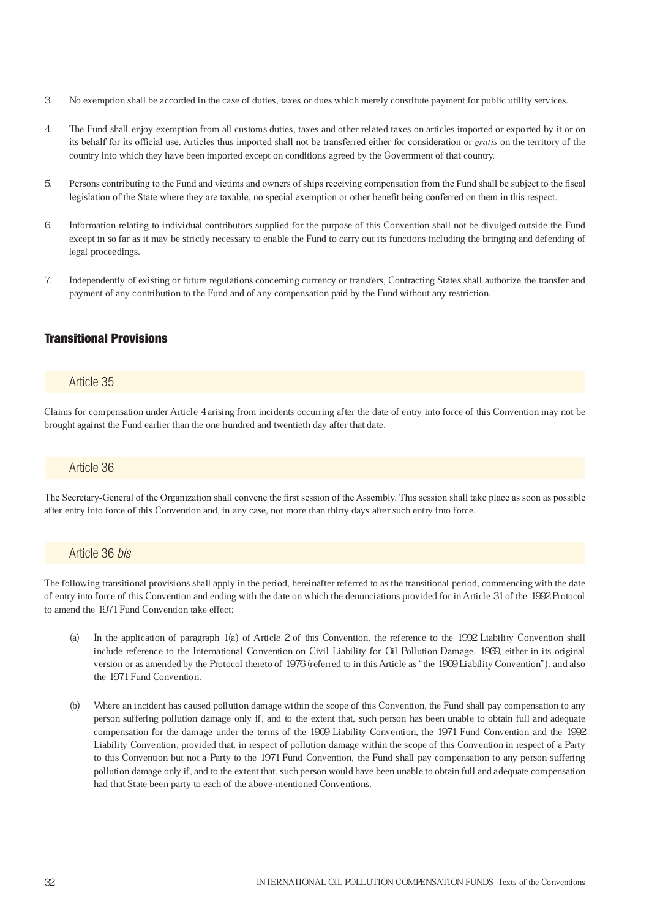- $3$  No exemption shall be accorded in the case of duties, taxes or dues which merely constitute payment for public utility services.
- 1 The Fund shall enjoy exemption from all customs duties, taxes and other related taxes on articles imported or exported by it or on its behalf for its official use. Articles thus imported shall not be transferred either for consideration or gratis on the territory of the country into which they have been imported except on conditions agreed by the Government of that country.
- 5 Persons contributing to the Fund and victims and owners of ships receiving compensation from the Fund shall be subject to the fiscal legislation of the State where they are taxable, no special exemption or other benefit being conferred on them in this respect.
- $6$  Information relating to individual contributors supplied for the purpose of this Convention shall not be divulged outside the Fund except in so far as it may be strictly necessary to enable the Fund to carry out its functions including the bringing and defending of legal proceedings.
- 7. Independently of existing or future regulations concerning currency or transfers, Contracting States shall authorize the transfer and payment of any contribution to the Fund and of any compensation paid by the Fund without any restriction.

### Transitional Provisions

#### Article 35

Claims for compensation under Article 4 arising from incidents occurring after the date of entry into force of this Convention may not be brought against the Fund earlier than the one hundred and twentieth day after that date.

#### Article 36

The Secretary-General of the Organization shall convene the first session of the Assembly. This session shall take place as soon as possible after entry into force of this Convention and, in any case, not more than thirty days after such entry into force.

#### Article 36 bis

The following transitional provisions shall apply in the period, hereinafter referred to as the transitional period, commencing with the date of entry into force of this Convention and ending with the date on which the denunciations provided for in Article 31 of the 1992 Protocol to amend the 1971 Fund Convention take effect:

- (a) In the application of paragraph 1(a) of Article 2 of this Convention, the reference to the 1992 Liability Convention shall include reference to the International Convention on Civil Liability for Oil Pollution Damage, 1969, either in its original version or as amended by the Protocol thereto of 1976 (referred to in this Article as "the 1969 Liability Convention"), and also the 1971 Fund Convention.
- (b) Where an incident has caused pollution damage within the scope of this Convention, the Fund shall pay compensation to any person suffering pollution damage only if, and to the extent that, such person has been unable to obtain full and adequate compensation for the damage under the terms of the 1969 Liability Convention, the 1971 Fund Convention and the 1992 Liability Convention, provided that, in respect of pollution damage within the scope of this Convention in respect of a Party to this Convention but not a Party to the 1971 Fund Convention, the Fund shall pay compensation to any person suffering pollution damage only if, and to the extent that, such person would have been unable to obtain full and adequate compensation had that State been party to each of the above-mentioned Conventions.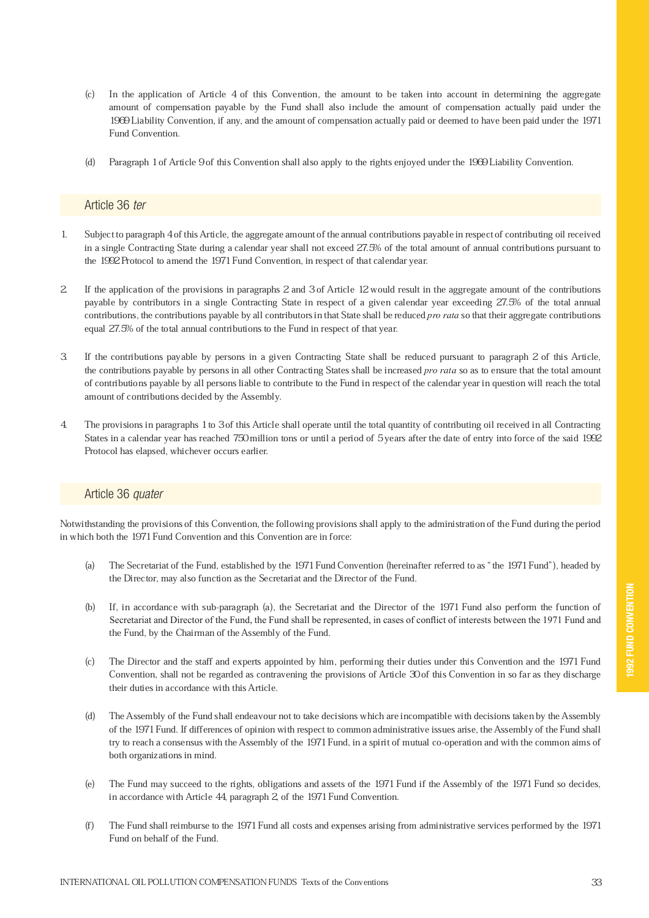**1992 FUND CONVENTION**

**1992 FUND CONVENTION** 

- $\mu$  In the application of Article 4 of this Convention, the amount to be taken into account in determining the aggregate amount of compensation payable by the Fund shall also include the amount of compensation actually paid under the 1969 Liability Convention, if any, and the amount of compensation actually paid or deemed to have been paid under the 1971 Fund Convention.
- (d) Paragraph 1 of Article 9 of this Convention shall also apply to the rights enjoyed under the 1969 Liability Convention.

#### Article 36 ter

- 1. Subject to paragraph 4 of this Article, the aggregate amount of the annual contributions payable in respect of contributing oil received in a single Contracting State during a calendar year shall not exceed 27.5% of the total amount of annual contributions pursuant to the 1992 Protocol to amend the 1971 Fund Convention, in respect of that calendar year.
- 2 If the application of the provisions in paragraphs 2 and 3 of Article 12 would result in the aggregate amount of the contributions payable by contributors in a single Contracting State in respect of a given calendar year exceeding 27.5% of the total annual contributions, the contributions payable by all contributors in that State shall be reduced pro rata so that their aggregate contributions equal 27.5% of the total annual contributions to the Fund in respect of that year.
- 3 If the contributions payable by persons in a given Contracting State shall be reduced pursuant to paragraph 2 of this Article, the contributions payable by persons in all other Contracting States shall be increased *pro rata* so as to ensure that the total amount of contributions payable by all persons liable to contribute to the Fund in respect of the calendar year in question will reach the total amount of contributions decided by the Assembly.
- 4 The provisions in paragraphs 1 to 3 of this Article shall operate until the total quantity of contributing oil received in all Contracting States in a calendar year has reached 750 million tons or until a period of 5 years after the date of entry into force of the said 1992 Protocol has elapsed, whichever occurs earlier.

#### Article 36 quater

Notwithstanding the provisions of this Convention, the following provisions shall apply to the administration of the Fund during the period in which both the 1971 Fund Convention and this Convention are in force:

- (a) The Secretariat of the Fund, established by the 1971 Fund Convention (hereinafter referred to as "the 1971 Fund"), headed by the Director, may also function as the Secretariat and the Director of the Fund.
- (b) If, in accordance with sub-paragraph (a), the Secretariat and the Director of the 1971 Fund also perform the function of Secretariat and Director of the Fund, the Fund shall be represented, in cases of conflict of interests between the 1971 Fund and the Fund, by the Chairman of the Assembly of the Fund.
- (c) The Director and the staff and experts appointed by him, performing their duties under this Convention and the 1971 Fund Convention, shall not be regarded as contravening the provisions of Article 30 of this Convention in so far as they discharge their duties in accordance with this Article.
- (d) The Assembly of the Fund shall endeavour not to take decisions which are incompatible with decisions taken by the Assembly of the 1971 Fund. If differences of opinion with respect to common administrative issues arise, the Assembly of the Fund shall try to reach a consensus with the Assembly of the 1971 Fund, in a spirit of mutual co-operation and with the common aims of both organizations in mind.
- (e) The Fund may succeed to the rights, obligations and assets of the 1971 Fund if the Assembly of the 1971 Fund so decides, in accordance with Article 44, paragraph 2, of the 1971 Fund Convention.
- (f) The Fund shall reimburse to the 1971 Fund all costs and expenses arising from administrative services performed by the 1971 Fund on behalf of the Fund.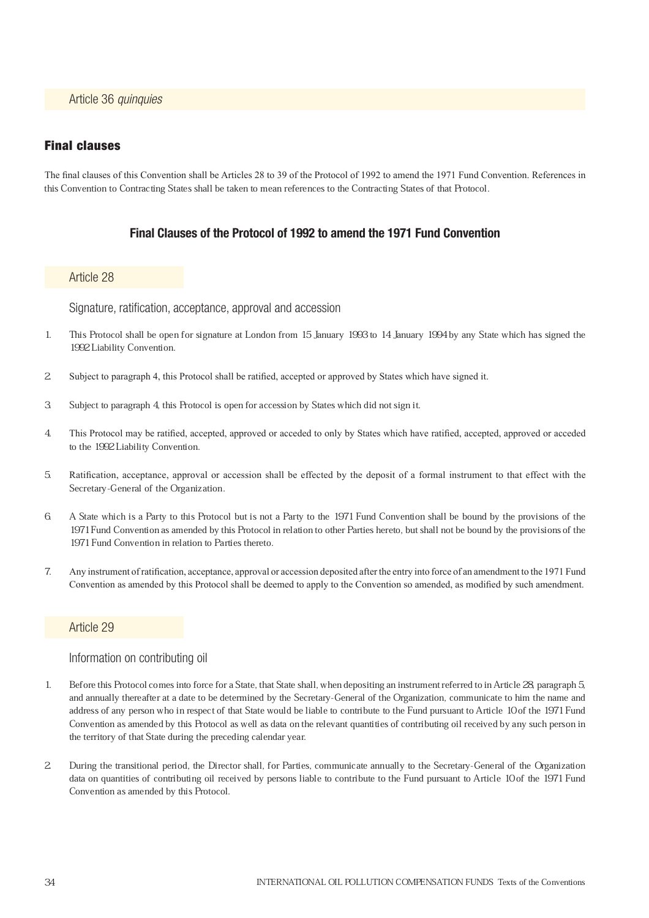Article 36 quinquies

## Final clauses

The final clauses of this Convention shall be Articles 28 to 39 of the Protocol of 1992 to amend the 1971 Fund Convention. References in this Convention to Contracting States shall be taken to mean references to the Contracting States of that Protocol.

# **Final Clauses of the Protocol of 1992 to amend the 1971 Fund Convention**

#### Article 28

Signature, ratification, acceptance, approval and accession

- 1. This Protocol shall be open for signature at London from 15 January 1993 to 14 January 1994 by any State which has signed the 1992 Liability Convention.
- 2 Subject to paragraph 4, this Protocol shall be ratified, accepted or approved by States which have signed it.
- 3 Subject to paragraph 4 this Protocol is open for accession by States which did not sign it.
- <sup>4</sup> This Protocol may be ratified, accepted, approved or acceded to only by States which have ratified, accepted, approved or acceded to the 1992 Liability Convention.
- ID Ratication, acceptance, approval or accession shall be effected by the deposit of a formal instrument to that effect with the Secretary-General of the Organization.
- 6. A State which is a Party to this Protocol but is not a Party to the 1971 Fund Convention shall be bound by the provisions of the 1971 Fund Convention as amended by this Protocol in relation to other Parties hereto, but shall not be bound by the provisions of the 1971 Fund Convention in relation to Parties thereto.
- 7. Any instrument of ratification, acceptance, approval or accession deposited after the entry into force of an amendment to the 1971 Fund Convention as amended by this Protocol shall be deemed to apply to the Convention so amended, as modified by such amendment.

#### Article 29

#### Information on contributing oil

- 1. Before this Protocol comes into force for a State, that State shall, when depositing an instrument referred to in Article 28, paragraph 5, and annually thereafter at a date to be determined by the Secretary-General of the Organization, communicate to him the name and address of any person who in respect of that State would be liable to contribute to the Fund pursuant to Article 10of the 1971 Fund Convention as amended by this Protocol as well as data on the relevant quantities of contributing oil received by any such person in the territory of that State during the preceding calendar year.
- 2 During the transitional period, the Director shall, for Parties, communicate annually to the Secretary-General of the Organization data on quantities of contributing oil received by persons liable to contribute to the Fund pursuant to Article 10 of the 1971 Fund Convention as amended by this Protocol.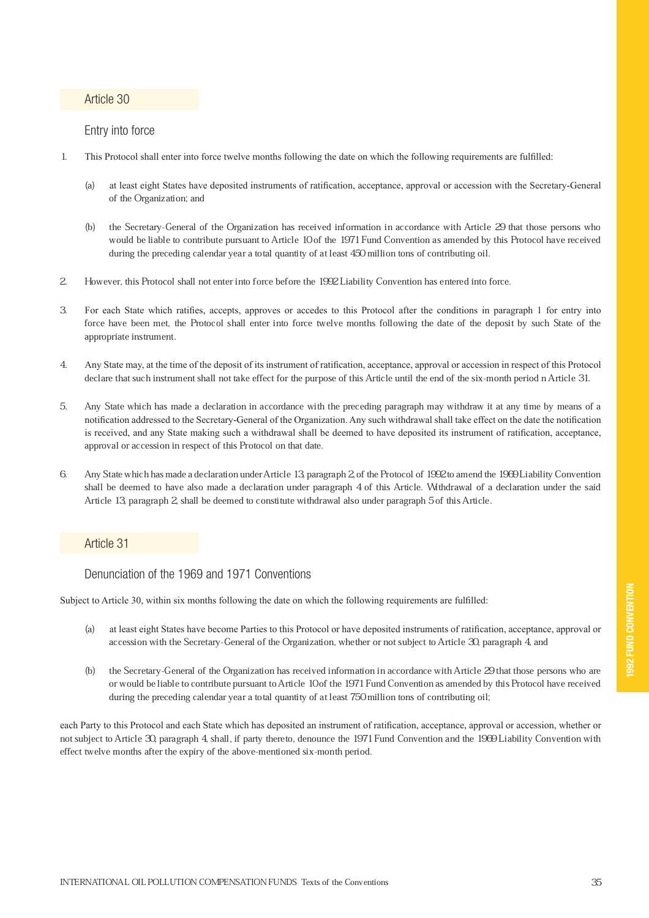Entry into force

- 1. This Protocol shall enter into force twelve months following the date on which the following requirements are fulfilled:
	- (a) at least eight States have deposited instruments of ratification, acceptance, approval or accession with the Secretary-General of the Organization; and
	- (b) the Secretary-General of the Organization has received information in accordance with Article 29 that those persons who would be liable to contribute pursuant to Article 10of the 1971 Fund Convention as amended by this Protocol have received during the preceding calendar year a total quantity of at least 450 million tons of contributing oil.
- 2 However, this Protocol shall not enter into force before the 1992 Liability Convention has entered into force.
- := For each State which raties, accepts, approves or accedes to this Protocol after the conditions in paragraph 1 for entry into force have been met, the Protocol shall enter into force twelve months following the date of the deposit by such State of the appropriate instrument.
- Any State may, at the time of the deposit of its instrument of ratification, acceptance, approval or accession in respect of this Protocol declare that such instrument shall not take effect for the purpose of this Article until the end of the six-month period n Article 31.
- 5 Any State which has made a declaration in accordance with the preceding paragraph may withdraw it at any time by means of a notification addressed to the Secretary-General of the Organization. Any such withdrawal shall take effect on the date the notification is received, and any State making such a withdrawal shall be deemed to have deposited its instrument of ratification, acceptance, approval or accession in respect of this Protocol on that date.
- G Any State which has made a declaration under Article 13 paragraph 2 of the Protocol of 1992 to amend the 1969 Liability Convention shall be deemed to have also made a declaration under paragraph 4 of this Article. Withdrawal of a declaration under the said Article 13, paragraph 2, shall be deemed to constitute withdrawal also under paragraph 5 of this Article.

### Article 31

### Denunciation of the 1969 and 1971 Conventions

Subject to Article 30, within six months following the date on which the following requirements are fulfilled:

- (a) at least eight States have become Parties to this Protocol or have deposited instruments of ratification, acceptance, approval or accession with the Secretary-General of the Organization, whether or not subject to Article 30, paragraph 4, and
- (b) the Secretary-General of the Organization has received information in accordance with Article 29 that those persons who are or would be liable to contribute pursuant to Article 10of the 1971 Fund Convention as amended by this Protocol have received during the preceding calendar year a total quantity of at least 750 million tons of contributing oil;

each Party to this Protocol and each State which has deposited an instrument of ratication, acceptance, approval or accession, whether or not subject to Article 30, paragraph 4, shall, if party thereto, denounce the 1971 Fund Convention and the 1969 Liability Convention with effect twelve months after the expiry of the above-mentioned six-month period.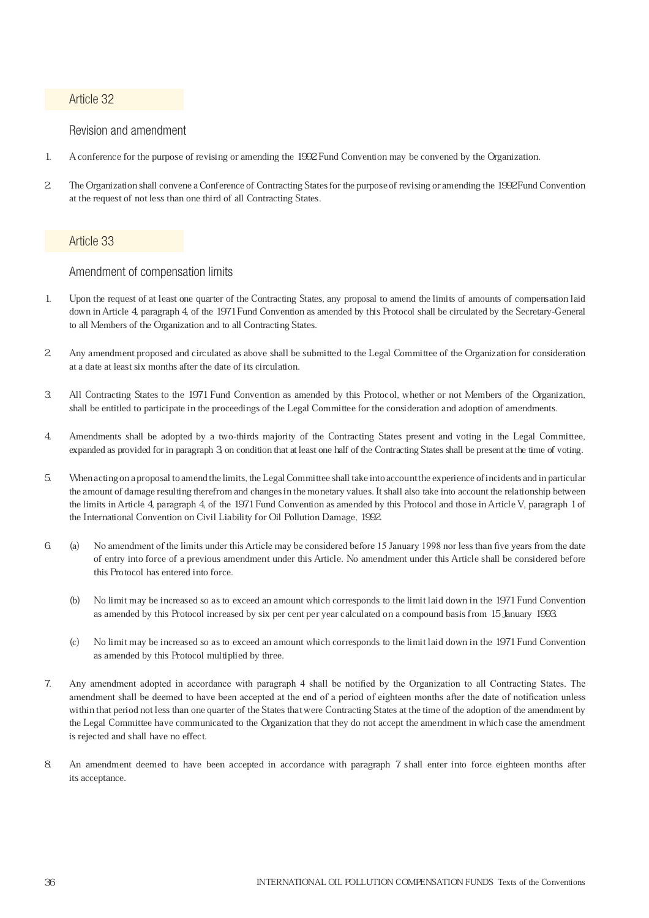#### Revision and amendment

- 1. A conference for the purpose of revising or amending the 1992 Fund Convention may be convened by the Organization.
- 2 The Organization shall convene a Conference of Contracting States for the purpose of revising or amending the 1992Fund Convention at the request of not less than one third of all Contracting States.

#### Article 33

#### Amendment of compensation limits

- 1. Upon the request of at least one quarter of the Contracting States, any proposal to amend the limits of amounts of compensation laid down in Article 4, paragraph 4, of the 1971 Fund Convention as amended by this Protocol shall be circulated by the Secretary-General to all Members of the Organization and to all Contracting States.
- Any amendment proposed and circulated as above shall be submitted to the Legal Committee of the Organization for consideration at a date at least six months after the date of its circulation.
- 3 All Contracting States to the 1971 Fund Convention as amended by this Protocol, whether or not Members of the Organization, shall be entitled to participate in the proceedings of the Legal Committee for the consideration and adoption of amendments.
- 4 Amendments shall be adopted by a two-thirds majority of the Contracting States present and voting in the Legal Committee, expanded as provided for in paragraph 3 on condition that at least one half of the Contracting States shall be present at the time of voting.
- 5. When acting on a proposal to amend the limits, the Legal Committee shall take into account the experience of incidents and in particular the amount of damage resulting therefrom and changes in the monetary values. It shall also take into account the relationship between the limits in Article 4, paragraph 4, of the 1971 Fund Convention as amended by this Protocol and those in Article V, paragraph 1 of the International Convention on Civil Liability for Oil Pollution Damage, 1992
- (a) No amendment of the limits under this Article may be considered before 15 January 1998 nor less than five years from the date of entry into force of a previous amendment under this Article. No amendment under this Article shall be considered before this Protocol has entered into force.  $6 \overline{)}$ 
	- (b) No limit may be increased so as to exceed an amount which corresponds to the limit laid down in the 1971 Fund Convention as amended by this Protocol increased by six per cent per year calculated on a compound basis from 15 January 1993.
	- (c) No limit may be increased so as to exceed an amount which corresponds to the limit laid down in the 1971 Fund Convention as amended by this Protocol multiplied by three.
- PJ Any amendment adopted in accordance with paragraph 4 shall be notied by the Organization to all Contracting States. The amendment shall be deemed to have been accepted at the end of a period of eighteen months after the date of notification unless within that period not less than one quarter of the States that were Contracting States at the time of the adoption of the amendment by the Legal Committee have communicated to the Organization that they do not accept the amendment in which case the amendment is rejected and shall have no effect.
- $\,$  8  $\,$  An amendment deemed to have been accepted in accordance with paragraph 7 shall enter into force eighteen months after its acceptance.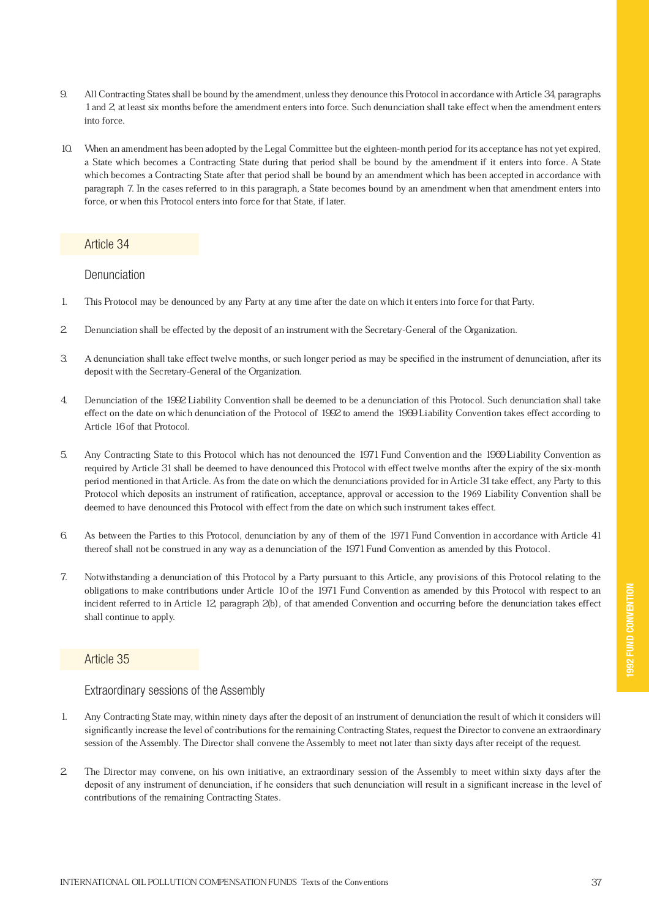- 9. All Contracting States shall be bound by the amendment, unless they denounce this Protocol in accordance with Article 34, paragraphs 1 and 2, at least six months before the amendment enters into force. Such denunciation shall take effect when the amendment enters into force.
- 10. When an amendment has been adopted by the Legal Committee but the eighteen-month period for its acceptance has not yet expired, a State which becomes a Contracting State during that period shall be bound by the amendment if it enters into force. A State which becomes a Contracting State after that period shall be bound by an amendment which has been accepted in accordance with paragraph 7. In the cases referred to in this paragraph, a State becomes bound by an amendment when that amendment enters into force, or when this Protocol enters into force for that State, if later.

### **Denunciation**

- 1. This Protocol may be denounced by any Party at any time after the date on which it enters into force for that Party.
- 2 Denunciation shall be effected by the deposit of an instrument with the Secretary-General of the Organization.
- 3 A denunciation shall take effect twelve months, or such longer period as may be specified in the instrument of denunciation, after its deposit with the Secretary-General of the Organization.
- 4 Denunciation of the 1992 Liability Convention shall be deemed to be a denunciation of this Protocol. Such denunciation shall take effect on the date on which denunciation of the Protocol of 1992 to amend the 1969 Liability Convention takes effect according to Article 16of that Protocol.
- 5. Any Contracting State to this Protocol which has not denounced the 1971 Fund Convention and the 1969 Liability Convention as required by Article 31 shall be deemed to have denounced this Protocol with effect twelve months after the expiry of the six-month period mentioned in that Article. As from the date on which the denunciations provided for in Article 31 take effect, any Party to this Protocol which deposits an instrument of ratification, acceptance, approval or accession to the 1969 Liability Convention shall be deemed to have denounced this Protocol with effect from the date on which such instrument takes effect.
- G As between the Parties to this Protocol, denunciation by any of them of the 1971 Fund Convention in accordance with Article 41 thereof shall not be construed in any way as a denunciation of the 1971 Fund Convention as amended by this Protocol.
- 7. Notwithstanding a denunciation of this Protocol by a Party pursuant to this Article, any provisions of this Protocol relating to the obligations to make contributions under Article 10 of the 1971 Fund Convention as amended by this Protocol with respect to an incident referred to in Article 12 paragraph 2(b), of that amended Convention and occurring before the denunciation takes effect shall continue to apply.

### Article 35

# Extraordinary sessions of the Assembly

- 1. Any Contracting State may, within ninety days after the deposit of an instrument of denunciation the result of which it considers will significantly increase the level of contributions for the remaining Contracting States, request the Director to convene an extraordinary session of the Assembly. The Director shall convene the Assembly to meet not later than sixty days after receipt of the request.
- 2 The Director may convene, on his own initiative, an extraordinary session of the Assembly to meet within sixty days after the deposit of any instrument of denunciation, if he considers that such denunciation will result in a signicant increase in the level of contributions of the remaining Contracting States.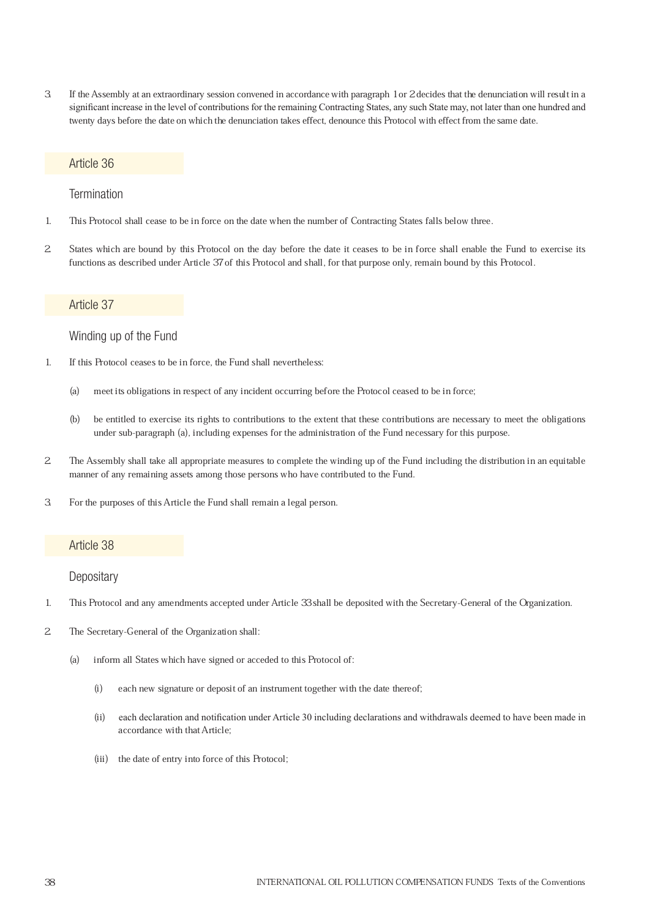$3$  If the Assembly at an extraordinary session convened in accordance with paragraph 1 or 2 decides that the denunciation will result in a significant increase in the level of contributions for the remaining Contracting States, any such State may, not later than one hundred and twenty days before the date on which the denunciation takes effect, denounce this Protocol with effect from the same date.

#### Article 36

**Termination** 

- 1. This Protocol shall cease to be in force on the date when the number of Contracting States falls below three.
- 2 States which are bound by this Protocol on the day before the date it ceases to be in force shall enable the Fund to exercise its functions as described under Article 37 of this Protocol and shall, for that purpose only, remain bound by this Protocol.

Article 37

Winding up of the Fund

- 1. If this Protocol ceases to be in force, the Fund shall nevertheless:
	- (a) meet its obligations in respect of any incident occurring before the Protocol ceased to be in force;
	- (b) be entitled to exercise its rights to contributions to the extent that these contributions are necessary to meet the obligations under sub-paragraph (a), including expenses for the administration of the Fund necessary for this purpose.
- 2 The Assembly shall take all appropriate measures to complete the winding up of the Fund including the distribution in an equitable manner of any remaining assets among those persons who have contributed to the Fund.
- 3 For the purposes of this Article the Fund shall remain a legal person.

#### Article 38

**Depositary** 

- 1. This Protocol and any amendments accepted under Article 33 shall be deposited with the Secretary-General of the Organization.
- 2 The Secretary-General of the Organization shall:
	- (a) inform all States which have signed or acceded to this Protocol of:
		- $(i)$  each new signature or deposit of an instrument together with the date thereof;
		- (ii) each declaration and notification under Article 30 including declarations and withdrawals deemed to have been made in accordance with that Article;
		- (iii) the date of entry into force of this Protocol;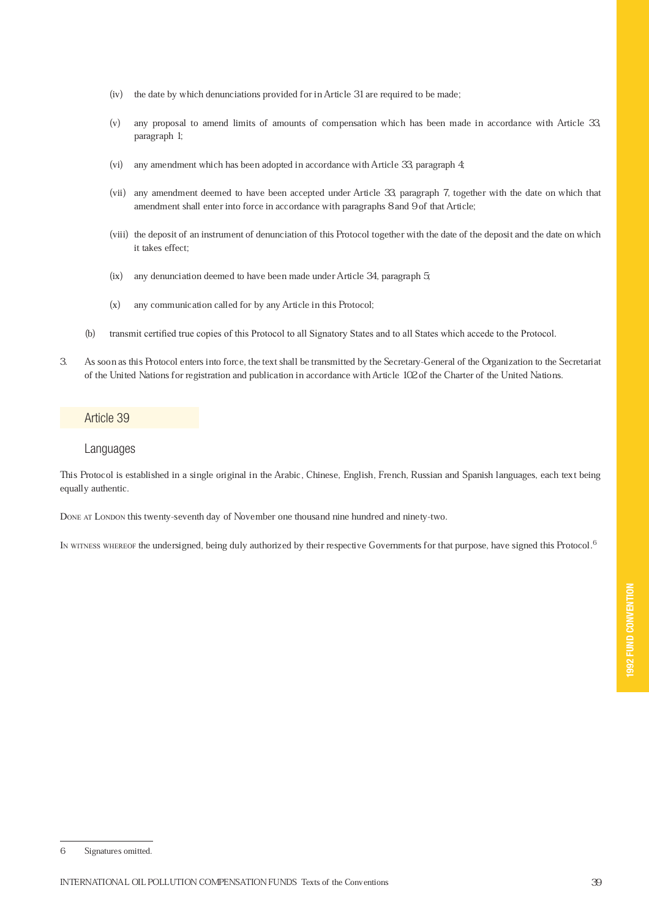- $(iv)$  the date by which denunciations provided for in Article 31 are required to be made;
- (v) any proposal to amend limits of amounts of compensation which has been made in accordance with Article  $33$ paragraph 1;
- (vi) any amendment which has been adopted in accordance with Article  $33$  paragraph  $4$
- (vii) any amendment deemed to have been accepted under Article 33 paragraph 7, together with the date on which that amendment shall enter into force in accordance with paragraphs 8 and 9 of that Article;
- (viii) the deposit of an instrument of denunciation of this Protocol together with the date of the deposit and the date on which it takes effect:
- (ix) any denunciation deemed to have been made under Article 34, paragraph  $5$
- (x) any communication called for by any Article in this Protocol;
- (b) transmit certified true copies of this Protocol to all Signatory States and to all States which accede to the Protocol.
- 3 As soon as this Protocol enters into force, the text shall be transmitted by the Secretary-General of the Organization to the Secretariat of the United Nations for registration and publication in accordance with Article 102 of the Charter of the United Nations.

#### Languages

This Protocol is established in a single original in the Arabic. Chinese. English. French. Russian and Spanish languages, each text being equally authentic.

DONE AT LONDON this twenty-seventh day of November one thousand nine hundred and ninety-two.

IN WITNESS WHEREOF the undersigned, being duly authorized by their respective Governments for that purpose, have signed this Protocol.<sup>6</sup>

```
6 Signatures omitted.
```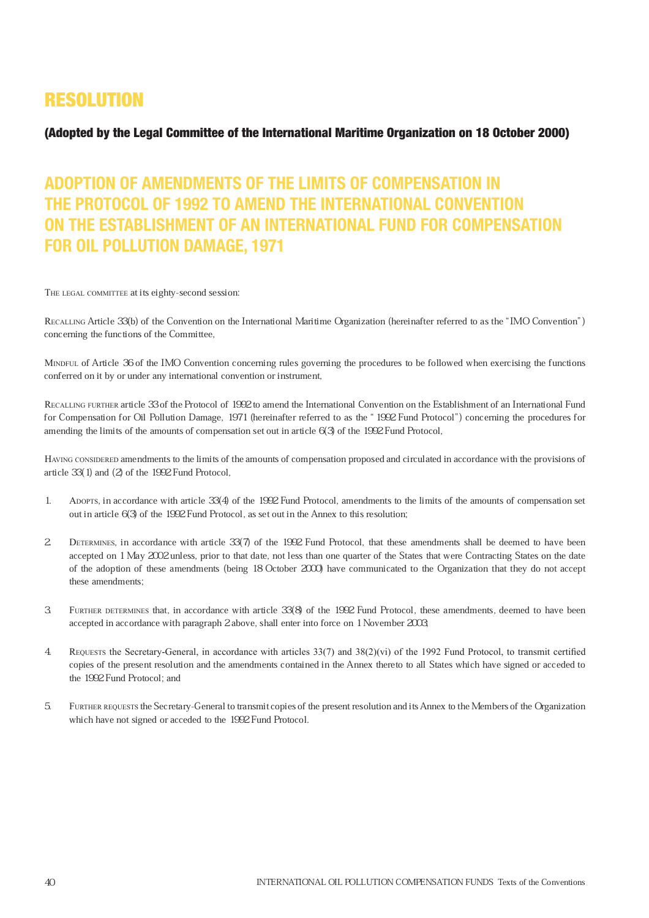# RESOLUTION

# (Adopted by the Legal Committee of the International Maritime Organization on 18 October 2000)

# **ADOPTION OF AMENDMENTS OF THE LIMITS OF COMPENSATION IN THE PROTOCOL OF 1992 TO AMEND THE INTERNATIONAL CONVENTION ON THE ESTABLISHMENT OF AN INTERNATIONAL FUND FOR COMPENSATION FOR OIL POLLUTION DAMAGE, 1971**

THE LEGAL COMMITTEE at its eighty-second session:

RECALLING Article 33(b) of the Convention on the International Maritime Organization (hereinafter referred to as the "IMO Convention") concerning the functions of the Committee,

MINDFUL of Article 36 of the IMO Convention concerning rules governing the procedures to be followed when exercising the functions conferred on it by or under any international convention or instrument,

RECALLING FURTHER article 33 of the Protocol of 1992 to amend the International Convention on the Establishment of an International Fund for Compensation for Oil Pollution Damage, 1971 (hereinafter referred to as the "1992 Fund Protocol") concerning the procedures for amending the limits of the amounts of compensation set out in article 6(3) of the 1992 Fund Protocol,

HAVING CONSIDERED amendments to the limits of the amounts of compensation proposed and circulated in accordance with the provisions of article  $33(1)$  and  $(2)$  of the 1992 Fund Protocol,

- 1. Aborts, in accordance with article 33(4) of the 1992 Fund Protocol, amendments to the limits of the amounts of compensation set out in article  $6(3)$  of the 1992 Fund Protocol, as set out in the Annex to this resolution;
- 2 DETERMINES, in accordance with article 33(7) of the 1992 Fund Protocol, that these amendments shall be deemed to have been accepted on 1 May 2002 unless, prior to that date, not less than one quarter of the States that were Contracting States on the date of the adoption of these amendments (being 18 October 2000) have communicated to the Organization that they do not accept these amendments:
- 3 FURTHER DETERMINES that, in accordance with article 33(8) of the 1992 Fund Protocol, these amendments, deemed to have been accepted in accordance with paragraph 2 above, shall enter into force on 1 November 2003
- 4 REQUESTS the Secretary-General, in accordance with articles 33(7) and 38(2)(vi) of the 1992 Fund Protocol, to transmit certified copies of the present resolution and the amendments contained in the Annex thereto to all States which have signed or acceded to the 1992 Fund Protocol; and
- 5. FURTHER REQUESTS the Secretary-General to transmit copies of the present resolution and its Annex to the Members of the Organization which have not signed or acceded to the 1992 Fund Protocol.